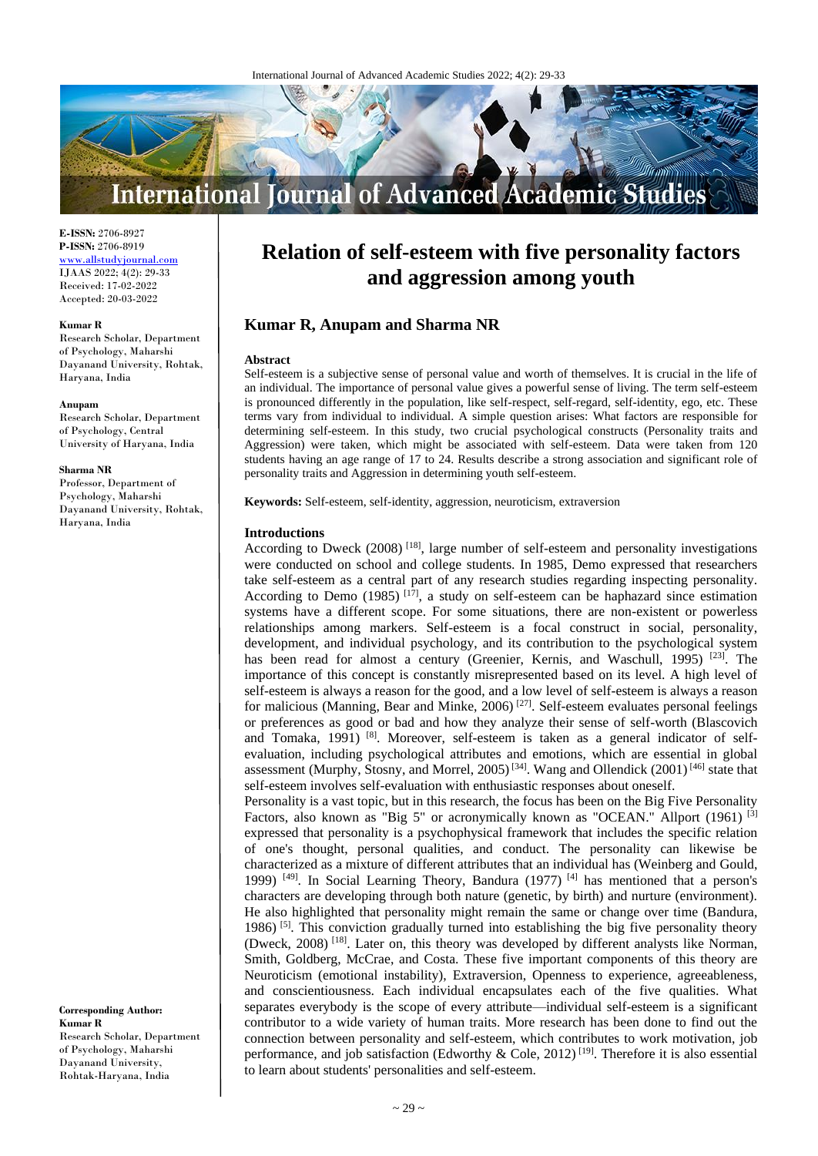

**E-ISSN:** 2706-8927 **P-ISSN:** 2706-8919 <www.allstudyjournal.com> IJAAS 2022; 4(2): 29-33 Received: 17-02-2022 Accepted: 20-03-2022

#### **Kumar R**

Research Scholar, Department of Psychology, Maharshi Dayanand University, Rohtak, Haryana, India

#### **Anupam**

Research Scholar, Department of Psychology, Central University of Haryana, India

#### **Sharma NR**

Professor, Department of Psychology, Maharshi Dayanand University, Rohtak, Haryana, India

**Corresponding Author: Kumar R** Research Scholar, Department of Psychology, Maharshi Dayanand University,

Rohtak-Haryana, India

# **Relation of self-esteem with five personality factors and aggression among youth**

# **Kumar R, Anupam and Sharma NR**

#### **Abstract**

Self-esteem is a subjective sense of personal value and worth of themselves. It is crucial in the life of an individual. The importance of personal value gives a powerful sense of living. The term self-esteem is pronounced differently in the population, like self-respect, self-regard, self-identity, ego, etc. These terms vary from individual to individual. A simple question arises: What factors are responsible for determining self-esteem. In this study, two crucial psychological constructs (Personality traits and Aggression) were taken, which might be associated with self-esteem. Data were taken from 120 students having an age range of 17 to 24. Results describe a strong association and significant role of personality traits and Aggression in determining youth self-esteem.

**Keywords:** Self-esteem, self-identity, aggression, neuroticism, extraversion

#### **Introductions**

According to Dweck (2008)<sup>[18]</sup>, large number of self-esteem and personality investigations were conducted on school and college students. In 1985, Demo expressed that researchers take self-esteem as a central part of any research studies regarding inspecting personality. According to Demo (1985)<sup>[17]</sup>, a study on self-esteem can be haphazard since estimation systems have a different scope. For some situations, there are non-existent or powerless relationships among markers. Self-esteem is a focal construct in social, personality, development, and individual psychology, and its contribution to the psychological system has been read for almost a century (Greenier, Kernis, and Waschull, 1995)<sup>[23]</sup>. The importance of this concept is constantly misrepresented based on its level. A high level of self-esteem is always a reason for the good, and a low level of self-esteem is always a reason for malicious (Manning, Bear and Minke, 2006)<sup>[27]</sup>. Self-esteem evaluates personal feelings or preferences as good or bad and how they analyze their sense of self-worth (Blascovich and Tomaka, 1991)<sup>[8]</sup>. Moreover, self-esteem is taken as a general indicator of selfevaluation, including psychological attributes and emotions, which are essential in global assessment (Murphy, Stosny, and Morrel, 2005)<sup>[34]</sup>. Wang and Ollendick (2001)<sup>[46]</sup> state that self-esteem involves self-evaluation with enthusiastic responses about oneself.

Personality is a vast topic, but in this research, the focus has been on the Big Five Personality Factors, also known as "Big 5" or acronymically known as "OCEAN." Allport (1961) <sup>[3]</sup> expressed that personality is a psychophysical framework that includes the specific relation of one's thought, personal qualities, and conduct. The personality can likewise be characterized as a mixture of different attributes that an individual has (Weinberg and Gould, 1999)<sup>[49]</sup>. In Social Learning Theory, Bandura (1977)<sup>[4]</sup> has mentioned that a person's characters are developing through both nature (genetic, by birth) and nurture (environment). He also highlighted that personality might remain the same or change over time (Bandura, 1986)<sup>[5]</sup>. This conviction gradually turned into establishing the big five personality theory (Dweck, 2008)<sup>[18]</sup>. Later on, this theory was developed by different analysts like Norman, Smith, Goldberg, McCrae, and Costa. These five important components of this theory are Neuroticism (emotional instability), Extraversion, Openness to experience, agreeableness, and conscientiousness. Each individual encapsulates each of the five qualities. What separates everybody is the scope of every attribute—individual self-esteem is a significant contributor to a wide variety of human traits. More research has been done to find out the connection between personality and self-esteem, which contributes to work motivation, job performance, and job satisfaction (Edworthy & Cole, 2012)<sup>[19]</sup>. Therefore it is also essential to learn about students' personalities and self-esteem.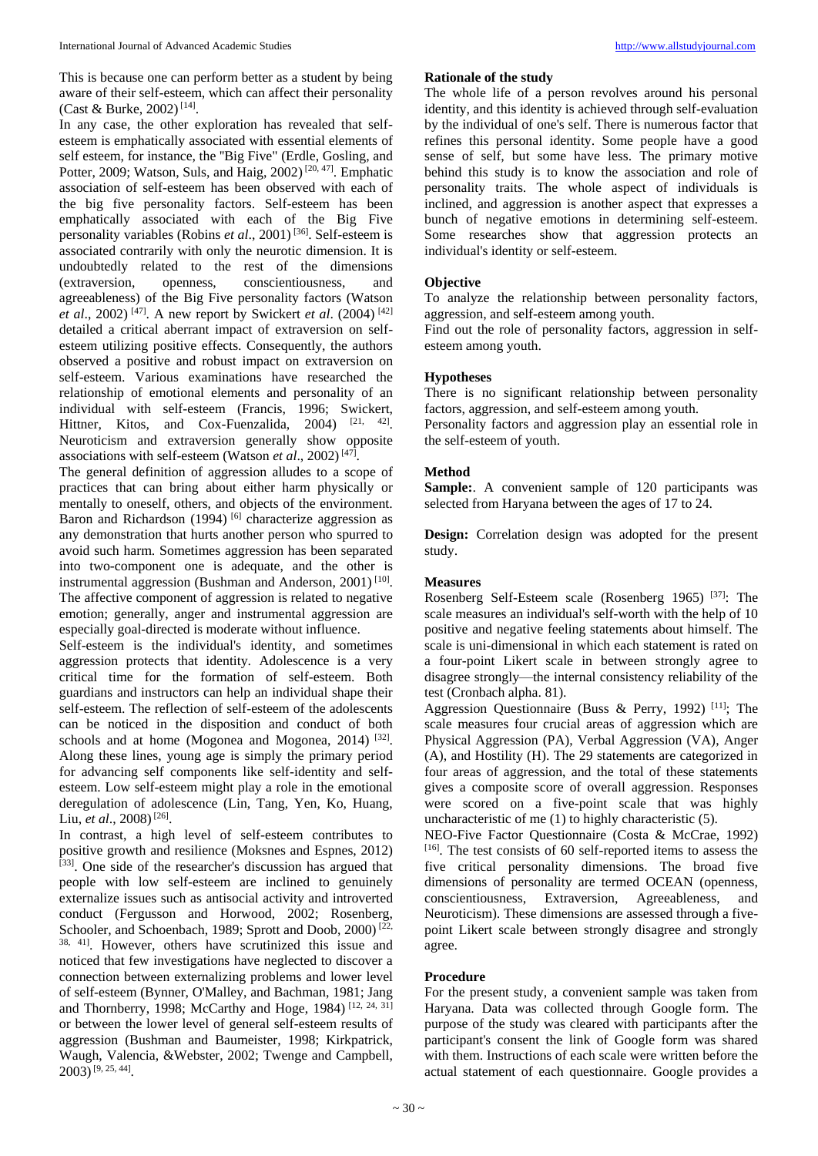In any case, the other exploration has revealed that selfesteem is emphatically associated with essential elements of self esteem, for instance, the ''Big Five" (Erdle, Gosling, and Potter, 2009; Watson, Suls, and Haig, 2002)<sup>[20, 47]</sup>. Emphatic association of self-esteem has been observed with each of the big five personality factors. Self-esteem has been emphatically associated with each of the Big Five personality variables (Robins *et al*., 2001) [36] . Self-esteem is associated contrarily with only the neurotic dimension. It is undoubtedly related to the rest of the dimensions (extraversion, openness, conscientiousness, and agreeableness) of the Big Five personality factors (Watson *et al*., 2002) [47] . A new report by Swickert *et al*. (2004) [42] detailed a critical aberrant impact of extraversion on selfesteem utilizing positive effects. Consequently, the authors observed a positive and robust impact on extraversion on self-esteem. Various examinations have researched the relationship of emotional elements and personality of an individual with self-esteem (Francis, 1996; Swickert, Hittner, Kitos, and Cox-Fuenzalida,  $2004$ )  $[21, 42]$ . Neuroticism and extraversion generally show opposite associations with self-esteem (Watson *et al.*, 2002)<sup>[47]</sup>.

The general definition of aggression alludes to a scope of practices that can bring about either harm physically or mentally to oneself, others, and objects of the environment. Baron and Richardson (1994)<sup>[6]</sup> characterize aggression as any demonstration that hurts another person who spurred to avoid such harm. Sometimes aggression has been separated into two-component one is adequate, and the other is instrumental aggression (Bushman and Anderson, 2001)<sup>[10]</sup>. The affective component of aggression is related to negative emotion; generally, anger and instrumental aggression are especially goal-directed is moderate without influence.

Self-esteem is the individual's identity, and sometimes aggression protects that identity. Adolescence is a very critical time for the formation of self-esteem. Both guardians and instructors can help an individual shape their self-esteem. The reflection of self-esteem of the adolescents can be noticed in the disposition and conduct of both schools and at home (Mogonea and Mogonea, 2014)<sup>[32]</sup>. Along these lines, young age is simply the primary period for advancing self components like self-identity and selfesteem. Low self-esteem might play a role in the emotional deregulation of adolescence (Lin, Tang, Yen, Ko, Huang, Liu, *et al.*, 2008)<sup>[26]</sup>.

In contrast, a high level of self-esteem contributes to positive growth and resilience (Moksnes and Espnes, 2012) [33]. One side of the researcher's discussion has argued that people with low self-esteem are inclined to genuinely externalize issues such as antisocial activity and introverted conduct (Fergusson and Horwood, 2002; Rosenberg, Schooler, and Schoenbach, 1989; Sprott and Doob, 2000)<sup>[22,</sup> 38, 41] . However, others have scrutinized this issue and noticed that few investigations have neglected to discover a connection between externalizing problems and lower level of self-esteem (Bynner, O'Malley, and Bachman, 1981; Jang and Thornberry, 1998; McCarthy and Hoge, 1984) [12, 24, 31] or between the lower level of general self-esteem results of aggression (Bushman and Baumeister, 1998; Kirkpatrick, Waugh, Valencia, &Webster, 2002; Twenge and Campbell, 2003)[9, 25, 44] .

## **Rationale of the study**

The whole life of a person revolves around his personal identity, and this identity is achieved through self-evaluation by the individual of one's self. There is numerous factor that refines this personal identity. Some people have a good sense of self, but some have less. The primary motive behind this study is to know the association and role of personality traits. The whole aspect of individuals is inclined, and aggression is another aspect that expresses a bunch of negative emotions in determining self-esteem. Some researches show that aggression protects an individual's identity or self-esteem.

## **Objective**

To analyze the relationship between personality factors, aggression, and self-esteem among youth.

Find out the role of personality factors, aggression in selfesteem among youth.

### **Hypotheses**

There is no significant relationship between personality factors, aggression, and self-esteem among youth.

Personality factors and aggression play an essential role in the self-esteem of youth.

### **Method**

Sample: A convenient sample of 120 participants was selected from Haryana between the ages of 17 to 24.

**Design:** Correlation design was adopted for the present study.

## **Measures**

Rosenberg Self-Esteem scale (Rosenberg 1965)<sup>[37]</sup>: The scale measures an individual's self-worth with the help of 10 positive and negative feeling statements about himself. The scale is uni-dimensional in which each statement is rated on a four-point Likert scale in between strongly agree to disagree strongly—the internal consistency reliability of the test (Cronbach alpha. 81).

Aggression Questionnaire (Buss & Perry, 1992)<sup>[11]</sup>; The scale measures four crucial areas of aggression which are Physical Aggression (PA), Verbal Aggression (VA), Anger (A), and Hostility (H). The 29 statements are categorized in four areas of aggression, and the total of these statements gives a composite score of overall aggression. Responses were scored on a five-point scale that was highly uncharacteristic of me  $(1)$  to highly characteristic  $(5)$ .

NEO-Five Factor Questionnaire (Costa & McCrae, 1992) [16]. The test consists of 60 self-reported items to assess the five critical personality dimensions. The broad five dimensions of personality are termed OCEAN (openness, conscientiousness, Extraversion, Agreeableness, and Neuroticism). These dimensions are assessed through a fivepoint Likert scale between strongly disagree and strongly agree.

# **Procedure**

For the present study, a convenient sample was taken from Haryana. Data was collected through Google form. The purpose of the study was cleared with participants after the participant's consent the link of Google form was shared with them. Instructions of each scale were written before the actual statement of each questionnaire. Google provides a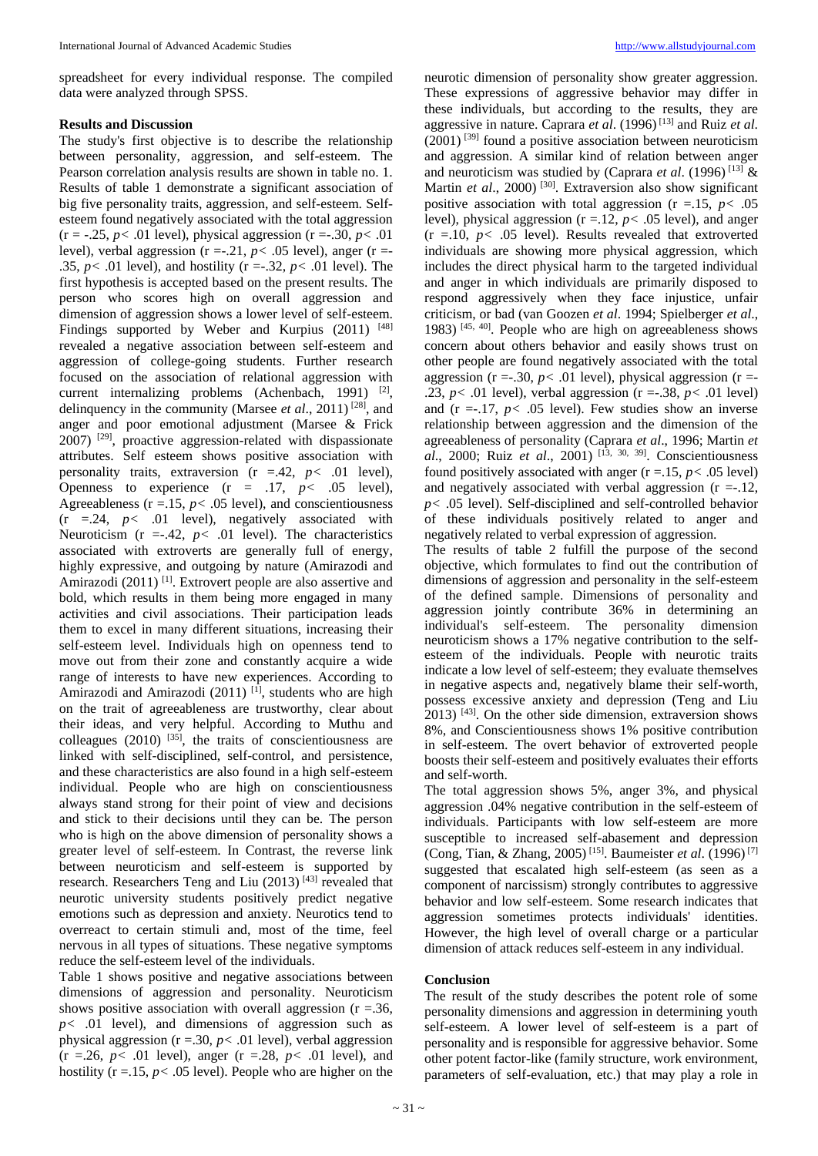spreadsheet for every individual response. The compiled data were analyzed through SPSS.

## **Results and Discussion**

The study's first objective is to describe the relationship between personality, aggression, and self-esteem. The Pearson correlation analysis results are shown in table no. 1. Results of table 1 demonstrate a significant association of big five personality traits, aggression, and self-esteem. Selfesteem found negatively associated with the total aggression  $(r = -.25, p < .01$  level), physical aggression  $(r = .30, p < .01$ level), verbal aggression ( $r = -21$ ,  $p < .05$  level), anger ( $r = -1$ .35,  $p < .01$  level), and hostility ( $r = .32$ ,  $p < .01$  level). The first hypothesis is accepted based on the present results. The person who scores high on overall aggression and dimension of aggression shows a lower level of self-esteem. Findings supported by Weber and Kurpius (2011) [48] revealed a negative association between self-esteem and aggression of college-going students. Further research focused on the association of relational aggression with current internalizing problems (Achenbach, 1991)  $[2]$ , delinquency in the community (Marsee *et al*., 2011) [28] , and anger and poor emotional adjustment (Marsee & Frick  $2007$ )  $^{[29]}$ , proactive aggression-related with dispassionate attributes. Self esteem shows positive association with personality traits, extraversion (r =.42, *p<* .01 level), Openness to experience  $(r = .17, p < .05$  level), Agreeableness ( $r = 15$ ,  $p < .05$  level), and conscientiousness  $(r = .24, p < .01$  level), negatively associated with Neuroticism ( $r = -0.42$ ,  $p < 0.01$  level). The characteristics associated with extroverts are generally full of energy, highly expressive, and outgoing by nature (Amirazodi and Amirazodi (2011)<sup>[1]</sup>. Extrovert people are also assertive and bold, which results in them being more engaged in many activities and civil associations. Their participation leads them to excel in many different situations, increasing their self-esteem level. Individuals high on openness tend to move out from their zone and constantly acquire a wide range of interests to have new experiences. According to Amirazodi and Amirazodi (2011)<sup>[1]</sup>, students who are high on the trait of agreeableness are trustworthy, clear about their ideas, and very helpful. According to Muthu and colleagues  $(2010)$  <sup>[35]</sup>, the traits of conscientiousness are linked with self-disciplined, self-control, and persistence, and these characteristics are also found in a high self-esteem individual. People who are high on conscientiousness always stand strong for their point of view and decisions and stick to their decisions until they can be. The person who is high on the above dimension of personality shows a greater level of self-esteem. In Contrast, the reverse link between neuroticism and self-esteem is supported by research. Researchers Teng and Liu (2013)<sup>[43]</sup> revealed that neurotic university students positively predict negative emotions such as depression and anxiety. Neurotics tend to overreact to certain stimuli and, most of the time, feel nervous in all types of situations. These negative symptoms reduce the self-esteem level of the individuals.

Table 1 shows positive and negative associations between dimensions of aggression and personality. Neuroticism shows positive association with overall aggression  $(r = .36, )$ *p<* .01 level), and dimensions of aggression such as physical aggression  $(r = .30, p < .01$  level), verbal aggression  $(r = .26, p < .01$  level), anger  $(r = .28, p < .01$  level), and hostility (r =.15, *p<* .05 level). People who are higher on the

neurotic dimension of personality show greater aggression. These expressions of aggressive behavior may differ in these individuals, but according to the results, they are aggressive in nature. Caprara *et al*. (1996) [13] and Ruiz *et al*.  $(2001)^{[39]}$  found a positive association between neuroticism and aggression. A similar kind of relation between anger and neuroticism was studied by (Caprara *et al*. (1996) [13] & Martin *et al.*, 2000)<sup>[30]</sup>. Extraversion also show significant positive association with total aggression ( $r = 15$ ,  $p < .05$ ) level), physical aggression ( $r = 12$ ,  $p < 0.05$  level), and anger  $(r = 10, p < .05$  level). Results revealed that extroverted individuals are showing more physical aggression, which includes the direct physical harm to the targeted individual and anger in which individuals are primarily disposed to respond aggressively when they face injustice, unfair criticism, or bad (van Goozen *et al*. 1994; Spielberger *et al*., 1983) [45, 40] . People who are high on agreeableness shows concern about others behavior and easily shows trust on other people are found negatively associated with the total aggression ( $r = .30$ ,  $p < .01$  level), physical aggression ( $r = -$ .23,  $p < .01$  level), verbal aggression ( $r = .38$ ,  $p < .01$  level) and  $(r = .17, p < .05$  level). Few studies show an inverse relationship between aggression and the dimension of the agreeableness of personality (Caprara *et al*., 1996; Martin *et al*., 2000; Ruiz *et al*., 2001) [13, 30, 39] . Conscientiousness found positively associated with anger (r =.15, *p<* .05 level) and negatively associated with verbal aggression  $(r = .12)$ , *p<* .05 level). Self-disciplined and self-controlled behavior of these individuals positively related to anger and negatively related to verbal expression of aggression.

The results of table 2 fulfill the purpose of the second objective, which formulates to find out the contribution of dimensions of aggression and personality in the self-esteem of the defined sample. Dimensions of personality and aggression jointly contribute 36% in determining an individual's self-esteem. The personality dimension neuroticism shows a 17% negative contribution to the selfesteem of the individuals. People with neurotic traits indicate a low level of self-esteem; they evaluate themselves in negative aspects and, negatively blame their self-worth, possess excessive anxiety and depression (Teng and Liu  $2013$ )  $^{[43]}$ . On the other side dimension, extraversion shows 8%, and Conscientiousness shows 1% positive contribution in self-esteem. The overt behavior of extroverted people boosts their self-esteem and positively evaluates their efforts and self-worth.

The total aggression shows 5%, anger 3%, and physical aggression .04% negative contribution in the self-esteem of individuals. Participants with low self-esteem are more susceptible to increased self-abasement and depression (Cong, Tian, & Zhang, 2005) [15] . Baumeister *et al*. (1996) [7] suggested that escalated high self-esteem (as seen as a component of narcissism) strongly contributes to aggressive behavior and low self-esteem. Some research indicates that aggression sometimes protects individuals' identities. However, the high level of overall charge or a particular dimension of attack reduces self-esteem in any individual.

#### **Conclusion**

The result of the study describes the potent role of some personality dimensions and aggression in determining youth self-esteem. A lower level of self-esteem is a part of personality and is responsible for aggressive behavior. Some other potent factor-like (family structure, work environment, parameters of self-evaluation, etc.) that may play a role in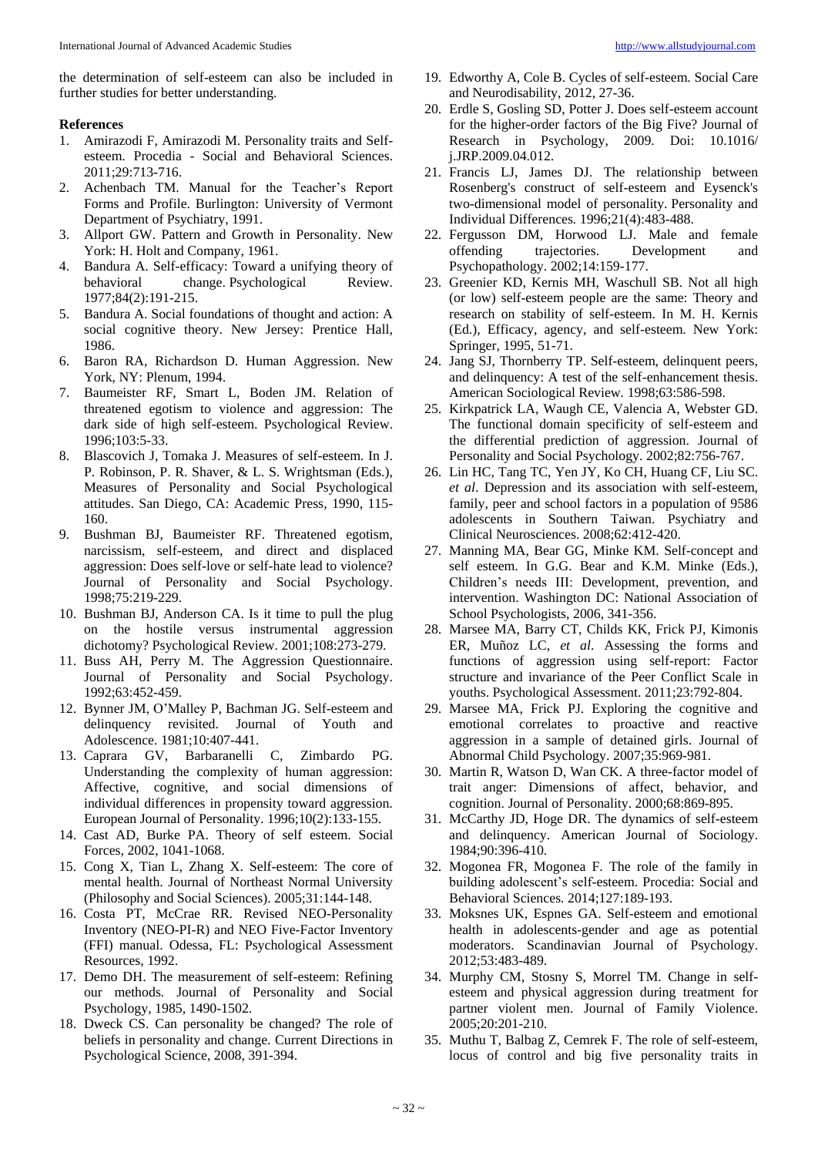the determination of self-esteem can also be included in further studies for better understanding.

#### **References**

- 1. Amirazodi F, Amirazodi M. Personality traits and Selfesteem. Procedia - Social and Behavioral Sciences. 2011;29:713-716.
- 2. Achenbach TM. Manual for the Teacher's Report Forms and Profile. Burlington: University of Vermont Department of Psychiatry, 1991.
- 3. Allport GW. Pattern and Growth in Personality. New York: H. Holt and Company, 1961.
- 4. Bandura A. Self-efficacy: Toward a unifying theory of behavioral change. Psychological Review. 1977;84(2):191-215.
- 5. Bandura A. Social foundations of thought and action: A social cognitive theory. New Jersey: Prentice Hall, 1986.
- 6. Baron RA, Richardson D. Human Aggression. New York, NY: Plenum, 1994.
- 7. Baumeister RF, Smart L, Boden JM. Relation of threatened egotism to violence and aggression: The dark side of high self-esteem. Psychological Review. 1996;103:5-33.
- 8. Blascovich J, Tomaka J. Measures of self-esteem. In J. P. Robinson, P. R. Shaver, & L. S. Wrightsman (Eds.), Measures of Personality and Social Psychological attitudes. San Diego, CA: Academic Press, 1990, 115- 160.
- 9. Bushman BJ, Baumeister RF. Threatened egotism, narcissism, self-esteem, and direct and displaced aggression: Does self-love or self-hate lead to violence? Journal of Personality and Social Psychology. 1998;75:219-229.
- 10. Bushman BJ, Anderson CA. Is it time to pull the plug on the hostile versus instrumental aggression dichotomy? Psychological Review. 2001;108:273-279.
- 11. Buss AH, Perry M. The Aggression Questionnaire. Journal of Personality and Social Psychology. 1992;63:452-459.
- 12. Bynner JM, O'Malley P, Bachman JG. Self-esteem and delinquency revisited. Journal of Youth and Adolescence. 1981;10:407-441.
- 13. Caprara GV, Barbaranelli C, Zimbardo PG. Understanding the complexity of human aggression: Affective, cognitive, and social dimensions of individual differences in propensity toward aggression. European Journal of Personality. 1996;10(2):133-155.
- 14. Cast AD, Burke PA. Theory of self esteem. Social Forces, 2002, 1041-1068.
- 15. Cong X, Tian L, Zhang X. Self-esteem: The core of mental health. Journal of Northeast Normal University (Philosophy and Social Sciences). 2005;31:144-148.
- 16. Costa PT, McCrae RR. Revised NEO-Personality Inventory (NEO-PI-R) and NEO Five-Factor Inventory (FFI) manual. Odessa, FL: Psychological Assessment Resources, 1992.
- 17. Demo DH. The measurement of self-esteem: Refining our methods*.* Journal of Personality and Social Psychology, 1985, 1490-1502.
- 18. Dweck CS. Can personality be changed? The role of beliefs in personality and change. Current Directions in Psychological Science, 2008, 391-394.
- 19. Edworthy A, Cole B. Cycles of self-esteem. Social Care and Neurodisability, 2012, 27-36.
- 20. Erdle S, Gosling SD, Potter J. Does self-esteem account for the higher-order factors of the Big Five? Journal of Research in Psychology, 2009. Doi: 10.1016/ j.JRP.2009.04.012.
- 21. Francis LJ, James DJ. The relationship between Rosenberg's construct of self-esteem and Eysenck's two-dimensional model of personality. Personality and Individual Differences*.* 1996;21(4):483-488.
- 22. Fergusson DM, Horwood LJ. Male and female offending trajectories. Development and Psychopathology. 2002;14:159-177.
- 23. Greenier KD, Kernis MH, Waschull SB. Not all high (or low) self-esteem people are the same: Theory and research on stability of self-esteem. In M. H. Kernis (Ed.), Efficacy, agency, and self-esteem. New York: Springer, 1995, 51-71.
- 24. Jang SJ, Thornberry TP. Self-esteem, delinquent peers, and delinquency: A test of the self-enhancement thesis. American Sociological Review*.* 1998;63:586-598.
- 25. Kirkpatrick LA, Waugh CE, Valencia A, Webster GD. The functional domain specificity of self-esteem and the differential prediction of aggression. Journal of Personality and Social Psychology. 2002;82:756-767.
- 26. Lin HC, Tang TC, Yen JY, Ko CH, Huang CF, Liu SC. *et al*. Depression and its association with self-esteem, family, peer and school factors in a population of 9586 adolescents in Southern Taiwan. Psychiatry and Clinical Neurosciences. 2008;62:412-420.
- 27. Manning MA, Bear GG, Minke KM. Self-concept and self esteem. In G.G. Bear and K.M. Minke (Eds.), Children's needs III: Development, prevention, and intervention. Washington DC: National Association of School Psychologists, 2006, 341-356.
- 28. Marsee MA, Barry CT, Childs KK, Frick PJ, Kimonis ER, Muñoz LC, *et al*. Assessing the forms and functions of aggression using self-report: Factor structure and invariance of the Peer Conflict Scale in youths. Psychological Assessment. 2011;23:792-804.
- 29. Marsee MA, Frick PJ. Exploring the cognitive and emotional correlates to proactive and reactive aggression in a sample of detained girls. Journal of Abnormal Child Psychology. 2007;35:969-981.
- 30. Martin R, Watson D, Wan CK. A three-factor model of trait anger: Dimensions of affect, behavior, and cognition. Journal of Personality. 2000;68:869-895.
- 31. McCarthy JD, Hoge DR. The dynamics of self-esteem and delinquency. American Journal of Sociology. 1984;90:396-410.
- 32. Mogonea FR, Mogonea F. The role of the family in building adolescent's self-esteem. Procedia: Social and Behavioral Sciences*.* 2014;127:189-193.
- 33. Moksnes UK, Espnes GA. Self-esteem and emotional health in adolescents-gender and age as potential moderators. Scandinavian Journal of Psychology. 2012;53:483-489.
- 34. Murphy CM, Stosny S, Morrel TM. Change in selfesteem and physical aggression during treatment for partner violent men. Journal of Family Violence. 2005;20:201-210.
- 35. Muthu T, Balbag Z, Cemrek F. The role of self-esteem, locus of control and big five personality traits in